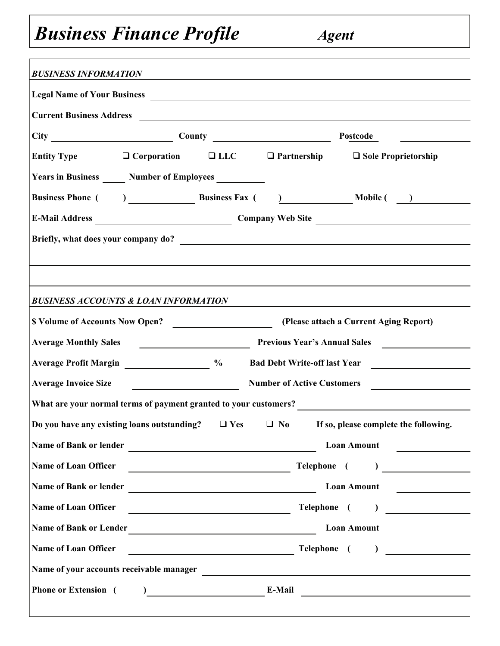## *Business Finance Profile Agent*

| <b>BUSINESS INFORMATION</b>                                                                                             |                                                            |  |                                                                                                                 |  |  |  |  |
|-------------------------------------------------------------------------------------------------------------------------|------------------------------------------------------------|--|-----------------------------------------------------------------------------------------------------------------|--|--|--|--|
|                                                                                                                         |                                                            |  |                                                                                                                 |  |  |  |  |
|                                                                                                                         | Current Business Address                                   |  |                                                                                                                 |  |  |  |  |
|                                                                                                                         | City County County                                         |  | Postcode                                                                                                        |  |  |  |  |
|                                                                                                                         |                                                            |  | Entity Type 		□ Corporation 		□ LLC 		□ Partnership 		□ Sole Proprietorship                                     |  |  |  |  |
|                                                                                                                         | Years in Business _______ Number of Employees ____________ |  |                                                                                                                 |  |  |  |  |
|                                                                                                                         |                                                            |  |                                                                                                                 |  |  |  |  |
|                                                                                                                         |                                                            |  |                                                                                                                 |  |  |  |  |
|                                                                                                                         |                                                            |  |                                                                                                                 |  |  |  |  |
|                                                                                                                         |                                                            |  |                                                                                                                 |  |  |  |  |
|                                                                                                                         |                                                            |  |                                                                                                                 |  |  |  |  |
|                                                                                                                         | <b>BUSINESS ACCOUNTS &amp; LOAN INFORMATION</b>            |  |                                                                                                                 |  |  |  |  |
|                                                                                                                         | S Volume of Accounts Now Open?                             |  | (Please attach a Current Aging Report)                                                                          |  |  |  |  |
|                                                                                                                         | Average Monthly Sales<br>Previous Year's Annual Sales      |  |                                                                                                                 |  |  |  |  |
| Average Profit Margin 2008 2009 2009 2009                                                                               |                                                            |  |                                                                                                                 |  |  |  |  |
| <b>Average Invoice Size</b><br><b>Number of Active Customers</b><br><u> 1980 - Andrea Station, amerikansk politik (</u> |                                                            |  |                                                                                                                 |  |  |  |  |
|                                                                                                                         |                                                            |  | What are your normal terms of payment granted to your customers?<br><u>Lateral contracts</u>                    |  |  |  |  |
|                                                                                                                         |                                                            |  | Do you have any existing loans outstanding? $\Box$ Yes $\Box$ No If so, please complete the following.          |  |  |  |  |
|                                                                                                                         | Name of Bank or lender                                     |  | <b>Loan Amount</b>                                                                                              |  |  |  |  |
| Name of Loan Officer                                                                                                    | <u> 1980 - Johann Barnett, fransk politik (d. 1980)</u>    |  |                                                                                                                 |  |  |  |  |
|                                                                                                                         |                                                            |  | <b>Loan Amount</b>                                                                                              |  |  |  |  |
| Name of Loan Officer                                                                                                    |                                                            |  | Telephone ( )                                                                                                   |  |  |  |  |
|                                                                                                                         | Name of Bank or Lender<br><u>Lender</u>                    |  | <b>Loan Amount</b>                                                                                              |  |  |  |  |
| <b>Name of Loan Officer</b>                                                                                             |                                                            |  | Telephone ( )                                                                                                   |  |  |  |  |
| Name of your accounts receivable manager                                                                                |                                                            |  | <u> 1980 - Andrea Andrew Maria (h. 1980).</u>                                                                   |  |  |  |  |
| <b>Phone or Extension</b> (                                                                                             |                                                            |  | the contract of the contract of the contract of the contract of the contract of the contract of the contract of |  |  |  |  |
|                                                                                                                         |                                                            |  |                                                                                                                 |  |  |  |  |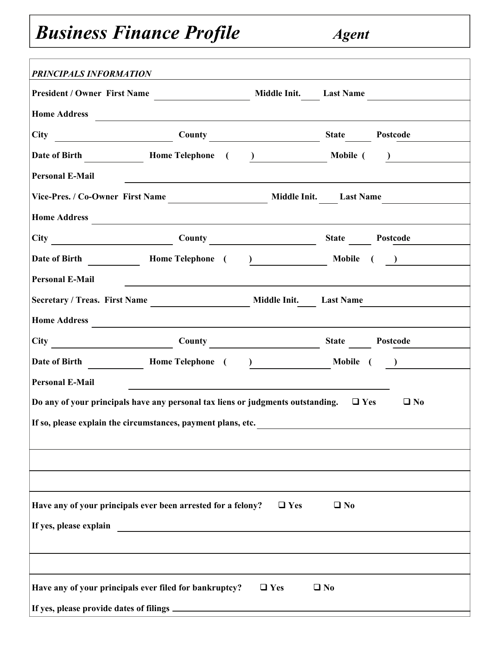## **Business Finance Profile** *Agent*

| <b>PRINCIPALS INFORMATION</b>                                                              |                                                                                                                                                                                                                               |  |                            |  |  |  |  |
|--------------------------------------------------------------------------------------------|-------------------------------------------------------------------------------------------------------------------------------------------------------------------------------------------------------------------------------|--|----------------------------|--|--|--|--|
|                                                                                            |                                                                                                                                                                                                                               |  |                            |  |  |  |  |
| Home Address                                                                               |                                                                                                                                                                                                                               |  |                            |  |  |  |  |
|                                                                                            |                                                                                                                                                                                                                               |  |                            |  |  |  |  |
|                                                                                            |                                                                                                                                                                                                                               |  |                            |  |  |  |  |
| <b>Personal E-Mail</b>                                                                     | <u> 1989 - Johann Stoff, amerikansk politiker (* 1908)</u>                                                                                                                                                                    |  |                            |  |  |  |  |
|                                                                                            |                                                                                                                                                                                                                               |  |                            |  |  |  |  |
| Home Address                                                                               |                                                                                                                                                                                                                               |  |                            |  |  |  |  |
| City County County State Postcode                                                          |                                                                                                                                                                                                                               |  |                            |  |  |  |  |
| Date of Birth Home Telephone (                                                             |                                                                                                                                                                                                                               |  | <u>)</u> Mobile ( <u>)</u> |  |  |  |  |
| <b>Personal E-Mail</b>                                                                     | <u> 1980 - Andrea Andrew Maria (h. 1980).</u>                                                                                                                                                                                 |  |                            |  |  |  |  |
|                                                                                            |                                                                                                                                                                                                                               |  |                            |  |  |  |  |
| <b>Home Address</b>                                                                        | the control of the control of the control of the control of the control of the control of the control of the control of the control of the control of the control of the control of the control of the control of the control |  |                            |  |  |  |  |
| City County County State Postcode                                                          |                                                                                                                                                                                                                               |  |                            |  |  |  |  |
|                                                                                            |                                                                                                                                                                                                                               |  | ) $\overline{\phantom{a}}$ |  |  |  |  |
| <b>Personal E-Mail</b>                                                                     | <u> 1980 - Johann Stoff, amerikansk politiker (* 1908)</u>                                                                                                                                                                    |  |                            |  |  |  |  |
| Do any of your principals have any personal tax liens or judgments outstanding. $\Box$ Yes |                                                                                                                                                                                                                               |  | $\Box$ No                  |  |  |  |  |
| If so, please explain the circumstances, payment plans, etc.                               |                                                                                                                                                                                                                               |  |                            |  |  |  |  |
|                                                                                            |                                                                                                                                                                                                                               |  |                            |  |  |  |  |
|                                                                                            |                                                                                                                                                                                                                               |  |                            |  |  |  |  |
|                                                                                            |                                                                                                                                                                                                                               |  |                            |  |  |  |  |
| Have any of your principals ever been arrested for a felony?<br>$\Box$ Yes<br>$\Box$ No    |                                                                                                                                                                                                                               |  |                            |  |  |  |  |
| If yes, please explain                                                                     |                                                                                                                                                                                                                               |  |                            |  |  |  |  |
|                                                                                            |                                                                                                                                                                                                                               |  |                            |  |  |  |  |
|                                                                                            |                                                                                                                                                                                                                               |  |                            |  |  |  |  |
| Have any of your principals ever filed for bankruptcy?<br>$\Box$ Yes<br>$\Box$ No          |                                                                                                                                                                                                                               |  |                            |  |  |  |  |
|                                                                                            |                                                                                                                                                                                                                               |  |                            |  |  |  |  |